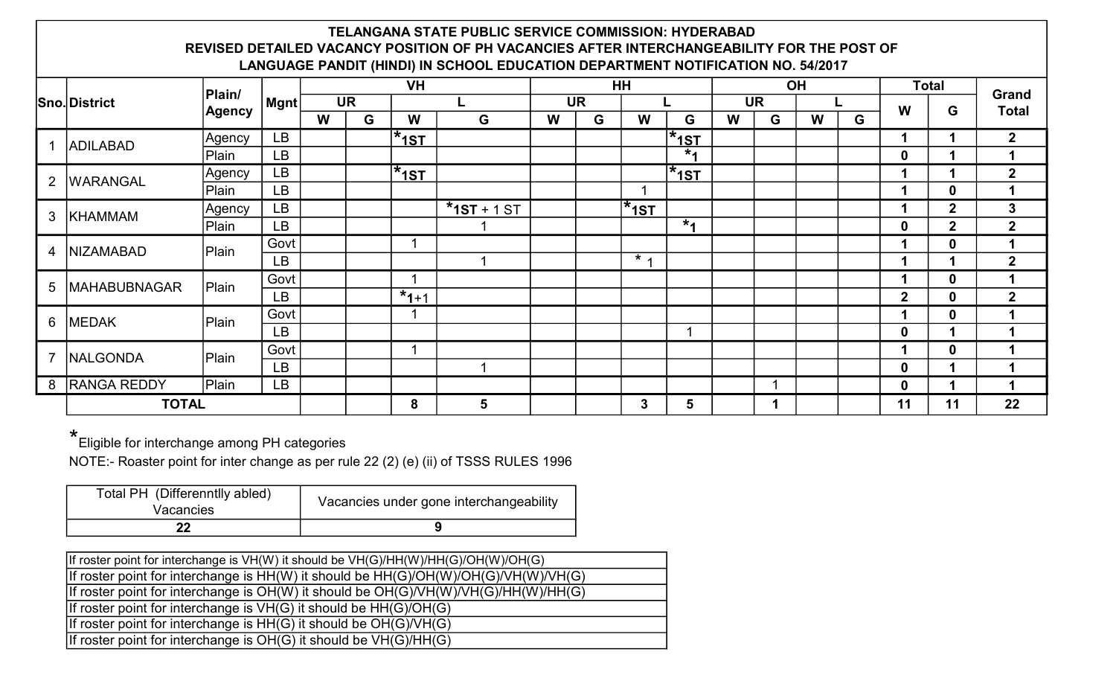## TELANGANA STATE PUBLIC SERVICE COMMISSION: HYDERABAD REVISED DETAILED VACANCY POSITION OF PH VACANCIES AFTER INTERCHANGEABILITY FOR THE POST OF LANGUAGE PANDIT (HINDI) IN SCHOOL EDUCATION DEPARTMENT NOTIFICATION NO. 54/2017

|                |                     | Plain/ |                       |   |           | <b>VH</b>              |               |   |           | HH             |                          |   |           | OH |   | <b>Total</b> |              |                |
|----------------|---------------------|--------|-----------------------|---|-----------|------------------------|---------------|---|-----------|----------------|--------------------------|---|-----------|----|---|--------------|--------------|----------------|
|                | <b>Sno.District</b> |        | $ \mathsf{M}$ gnt $ $ |   | <b>UR</b> |                        | L             |   | <b>UR</b> |                |                          |   | <b>UR</b> |    |   | W            | G            | Grand          |
|                | <b>Agency</b>       |        |                       | W | G         | W                      | G             | W | G         | W              | G                        | W | G         | W  | G |              |              | <b>Total</b>   |
|                | <b>ADILABAD</b>     | Agency | <b>LB</b>             |   |           | $*_{1S}$ T             |               |   |           |                | $\mathbf{ }^{\star}$ 1ST |   |           |    |   |              |              | $\mathbf{2}$   |
|                |                     | Plain  | <b>LB</b>             |   |           |                        |               |   |           |                | $*1$                     |   |           |    |   | $\mathbf 0$  |              |                |
| 2              | <b>WARANGAL</b>     | Agency | <b>LB</b>             |   |           | $*_{1S}T$              |               |   |           |                | $\mathbf{ }^{\star}$ 1ST |   |           |    |   |              |              | $\overline{2}$ |
|                |                     | Plain  | LB                    |   |           |                        |               |   |           | и              |                          |   |           |    |   |              | $\mathbf 0$  |                |
| 3              | <b>KHAMMAM</b>      | Agency | LB                    |   |           |                        | $*$ 1ST + 1ST |   |           | $^{\star}$ 1ST |                          |   |           |    |   |              | $\mathbf{2}$ | 3              |
|                |                     | Plain  | <b>LB</b>             |   |           |                        |               |   |           |                | $*1$                     |   |           |    |   | $\mathbf 0$  | $\mathbf{2}$ | $\mathbf{2}$   |
| $\overline{4}$ | <b>NIZAMABAD</b>    | Plain  | Govt                  |   |           |                        |               |   |           |                |                          |   |           |    |   |              | $\mathbf 0$  |                |
|                |                     |        | <b>LB</b>             |   |           |                        |               |   |           | $\star$ .      |                          |   |           |    |   |              |              | $2^{\circ}$    |
| 5              | <b>MAHABUBNAGAR</b> | Plain  | Govt                  |   |           | и                      |               |   |           |                |                          |   |           |    |   |              | $\mathbf 0$  |                |
|                |                     |        | <b>LB</b>             |   |           | $1 \overline{x}_{1+1}$ |               |   |           |                |                          |   |           |    |   | $\mathbf{2}$ | $\mathbf 0$  | $\overline{2}$ |
| 6              | <b>MEDAK</b>        | Plain  | Govt                  |   |           |                        |               |   |           |                |                          |   |           |    |   |              | $\mathbf 0$  |                |
|                |                     |        | <b>LB</b>             |   |           |                        |               |   |           |                |                          |   |           |    |   | $\mathbf 0$  |              |                |
| $\overline{7}$ | <b>NALGONDA</b>     | Plain  | Govt                  |   |           |                        |               |   |           |                |                          |   |           |    |   |              | 0            |                |
|                |                     |        | <b>LB</b>             |   |           |                        |               |   |           |                |                          |   |           |    |   | $\mathbf 0$  |              |                |
| 8              | <b>RANGA REDDY</b>  | Plain  | <b>LB</b>             |   |           |                        |               |   |           |                |                          |   |           |    |   | $\mathbf 0$  |              |                |
|                | <b>TOTAL</b>        |        |                       |   |           | 8                      | 5             |   |           | 3              | 5                        |   |           |    |   | 11           | 11           | 22             |

\* Eligible for interchange among PH categories

NOTE:- Roaster point for inter change as per rule 22 (2) (e) (ii) of TSSS RULES 1996

| Total PH (Differenntlly abled)<br>Vacancies | Vacancies under gone interchangeability |
|---------------------------------------------|-----------------------------------------|
|                                             |                                         |

| If roster point for interchange is VH(W) it should be VH(G)/HH(W)/HH(G)/OH(W)/OH(G)     |
|-----------------------------------------------------------------------------------------|
| If roster point for interchange is $HH(W)$ it should be $HH(G)/OH(W)/OH(G)/VH(W)/VH(G)$ |
| If roster point for interchange is $OH(W)$ it should be $OH(G)/VH(W)/VH(G)/HH(W)/HH(G)$ |
| If roster point for interchange is $VH(G)$ it should be $HH(G)/OH(G)$                   |
| If roster point for interchange is $HH(G)$ it should be $OH(G)/VH(G)$                   |
| If roster point for interchange is OH(G) it should be VH(G)/HH(G)                       |
|                                                                                         |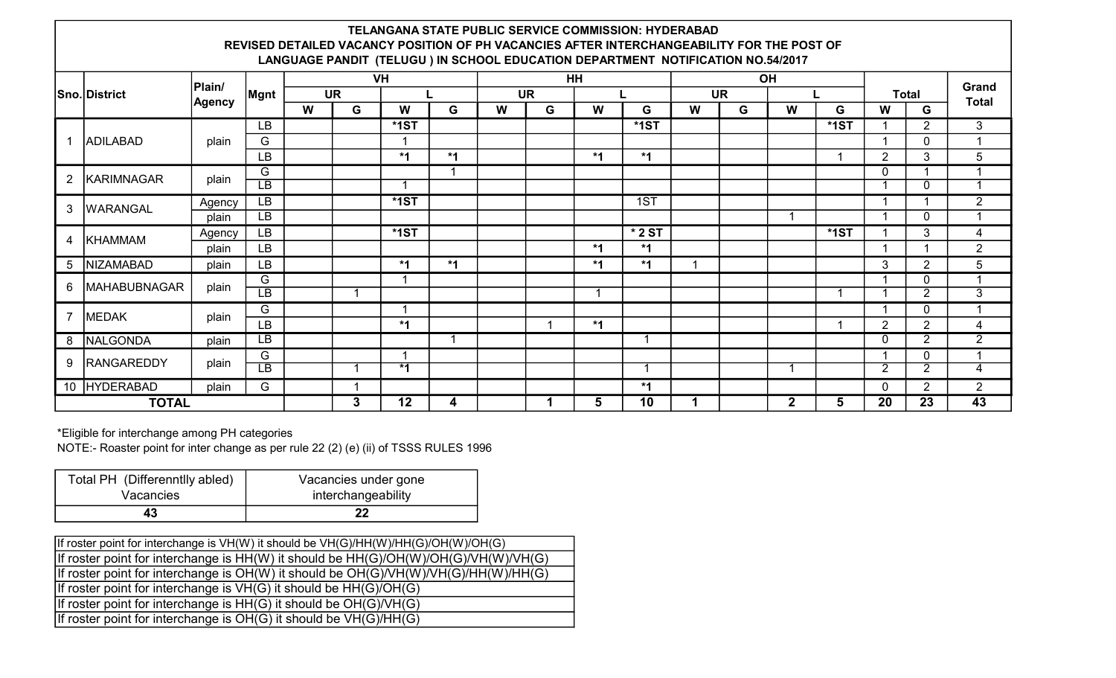## TELANGANA STATE PUBLIC SERVICE COMMISSION: HYDERABAD REVISED DETAILED VACANCY POSITION OF PH VACANCIES AFTER INTERCHANGEABILITY FOR THE POST OF LANGUAGE PANDIT (TELUGU ) IN SCHOOL EDUCATION DEPARTMENT NOTIFICATION NO.54/2017

|                 |                     |               |                          |   |           | <b>VH</b> |      |   |           | HH      |          |   |           | OH           |                                                                                                                                                                                                                                                              |                       |                |                |
|-----------------|---------------------|---------------|--------------------------|---|-----------|-----------|------|---|-----------|---------|----------|---|-----------|--------------|--------------------------------------------------------------------------------------------------------------------------------------------------------------------------------------------------------------------------------------------------------------|-----------------------|----------------|----------------|
|                 | Sno. District       | Plain/        | Mgnt                     |   | <b>UR</b> |           |      |   | <b>UR</b> |         |          |   | <b>UR</b> | W<br>G<br>W  |                                                                                                                                                                                                                                                              | Grand<br><b>Total</b> |                |                |
|                 |                     | <b>Agency</b> |                          | W | G         | W         | G    | W | G         | W       | G        | W | G         |              |                                                                                                                                                                                                                                                              |                       | G              |                |
|                 |                     | <b>LB</b>     |                          |   | $*$ 1ST   |           |      |   |           | $*$ 1ST |          |   |           | $*$ 1ST      |                                                                                                                                                                                                                                                              | $\overline{2}$        | 3              |                |
|                 | <b>ADILABAD</b>     | plain         | G                        |   |           |           |      |   |           |         |          |   |           |              | <b>Total</b><br>$\mathbf 0$<br>3<br>$\overline{2}$<br>0<br>$\mathbf 0$<br>$\mathbf 0$<br>$*$ 1ST<br>3<br>$\overline{2}$<br>3<br>0<br>$\overline{2}$<br>0<br>$\overline{2}$<br>$\overline{2}$<br>$\overline{2}$<br>0<br>0<br>$\overline{2}$<br>$\overline{2}$ | 1                     |                |                |
|                 |                     |               | LВ                       |   |           | $*1$      | $*1$ |   |           | $*1$    | $*1$     |   |           |              |                                                                                                                                                                                                                                                              |                       |                | 5              |
| $\overline{2}$  | KARIMNAGAR          | plain         | G                        |   |           |           |      |   |           |         |          |   |           |              |                                                                                                                                                                                                                                                              |                       |                | -4             |
|                 |                     |               | $\overline{LB}$          |   |           |           |      |   |           |         |          |   |           |              |                                                                                                                                                                                                                                                              |                       |                | 1              |
| 3               | <b>WARANGAL</b>     | Agency        | $\overline{LB}$          |   |           | $*$ 1ST   |      |   |           |         | 1ST      |   |           |              |                                                                                                                                                                                                                                                              |                       |                | $\overline{2}$ |
|                 |                     | plain         | LB                       |   |           |           |      |   |           |         |          |   |           |              |                                                                                                                                                                                                                                                              |                       |                | 1              |
| 4               | KHAMMAM             | Agency        | <b>LB</b>                |   |           | $*$ 1ST   |      |   |           |         | $*$ 2 ST |   |           |              |                                                                                                                                                                                                                                                              |                       |                | 4              |
|                 |                     | plain         | LB                       |   |           |           |      |   |           | $*1$    | $*1$     |   |           |              |                                                                                                                                                                                                                                                              |                       |                | $\overline{2}$ |
| $5\overline{)}$ | NIZAMABAD           | plain         | LB                       |   |           | $*1$      | $*1$ |   |           | *1      | $*1$     |   |           |              |                                                                                                                                                                                                                                                              |                       |                | 5              |
| $6^{\circ}$     | <b>MAHABUBNAGAR</b> | plain         | G                        |   |           |           |      |   |           |         |          |   |           |              |                                                                                                                                                                                                                                                              |                       |                | 4              |
|                 |                     |               | $\overline{LB}$          |   |           |           |      |   |           | -4      |          |   |           |              |                                                                                                                                                                                                                                                              |                       |                | $\overline{3}$ |
| $\overline{7}$  | MEDAK               | plain         | G                        |   |           |           |      |   |           |         |          |   |           |              |                                                                                                                                                                                                                                                              |                       |                | -1             |
|                 |                     |               | LB                       |   |           | $*1$      |      |   |           | $*1$    |          |   |           |              |                                                                                                                                                                                                                                                              |                       |                | 4              |
|                 | 8 NALGONDA          | plain         | $\overline{LB}$          |   |           |           |      |   |           |         | 1        |   |           |              |                                                                                                                                                                                                                                                              |                       |                | $\overline{2}$ |
| 9               | <b>RANGAREDDY</b>   | plain         | G                        |   |           |           |      |   |           |         |          |   |           |              |                                                                                                                                                                                                                                                              |                       |                | 1              |
|                 |                     |               | $\overline{\mathsf{LB}}$ |   |           | $*1$      |      |   |           |         |          |   |           |              |                                                                                                                                                                                                                                                              |                       |                | 4              |
|                 | 10 HYDERABAD        | plain         | G                        |   |           |           |      |   |           |         | $*1$     |   |           |              |                                                                                                                                                                                                                                                              | 0                     | $\overline{2}$ | $\overline{2}$ |
| <b>TOTAL</b>    |                     |               |                          |   | 3         | 12        | 4    |   |           | 5       | 10       | 1 |           | $\mathbf{2}$ | 5                                                                                                                                                                                                                                                            | 20                    | 23             | 43             |

\*Eligible for interchange among PH categories

NOTE:- Roaster point for inter change as per rule 22 (2) (e) (ii) of TSSS RULES 1996

| Total PH (Differenntlly abled) | Vacancies under gone |
|--------------------------------|----------------------|
| Vacancies                      | interchangeability   |
|                                | 22                   |

| If roster point for interchange is VH(W) it should be VH(G)/HH(W)/HH(G)/OH(W)/OH(G) |
|-------------------------------------------------------------------------------------|
| If roster point for interchange is HH(W) it should be HH(G)/OH(W)/OH(G)/VH(W)/VH(G) |
| If roster point for interchange is OH(W) it should be OH(G)/VH(W)/VH(G)/HH(W)/HH(G) |
| If roster point for interchange is $VH(G)$ it should be $HH(G)/OH(G)$               |
| If roster point for interchange is $HH(G)$ it should be $OH(G)/VH(G)$               |
| If roster point for interchange is $OH(G)$ it should be $VH(G)/HH(G)$               |